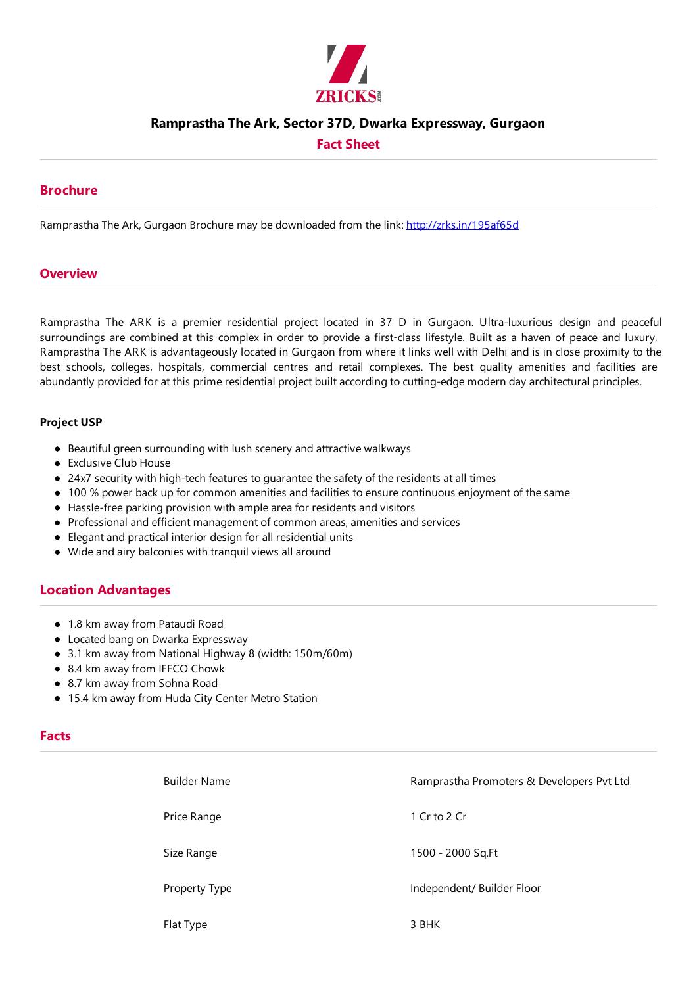

### **Ramprastha The Ark, Sector 37D, Dwarka Expressway, Gurgaon**

**Fact Sheet**

#### **Brochure**

Ramprastha The Ark, Gurgaon Brochure may be downloaded from the link: http://zrks.in/195af65d

#### **Overview**

Ramprastha The ARK is a premier residential project located in 37 D in Gurgaon. Ultra-luxurious design and peaceful surroundings are combined at this complex in order to provide a first-class lifestyle. Built as a haven of peace and luxury, Ramprastha The ARK is advantageously located in Gurgaon from where it links well with Delhi and is in close proximity to the best schools, colleges, hospitals, commercial centres and retail complexes. The best quality amenities and facilities are abundantly provided for at this prime residential project built according to cutting-edge modern day architectural principles.

#### **Project USP**

- Beautiful green surrounding with lush scenery and attractive walkways
- Exclusive Club House
- 24x7 security with high-tech features to guarantee the safety of the residents at all times
- 100 % power back up for common amenities and facilities to ensure continuous enjoyment of the same
- Hassle-free parking provision with ample area for residents and visitors
- Professional and efficient management of common areas,amenities and services
- Elegantand practical interior design for all residential units
- Wideand airy balconies with tranquil views all around

#### **Location Advantages**

- 1.8 km away from Pataudi Road
- Located bang on Dwarka Expressway
- 3.1 km away from National Highway 8 (width: 150m/60m)
- 8.4 km away from IFFCO Chowk
- 8.7 km away from Sohna Road
- 15.4 km away from Huda City Center Metro Station

### **Facts**

| <b>Builder Name</b> | Ramprastha Promoters & Developers Pvt Ltd |  |
|---------------------|-------------------------------------------|--|
| Price Range         | 1 Cr to 2 Cr                              |  |
| Size Range          | 1500 - 2000 Sq.Ft                         |  |
| Property Type       | Independent/ Builder Floor                |  |
| Flat Type           | 3 BHK                                     |  |